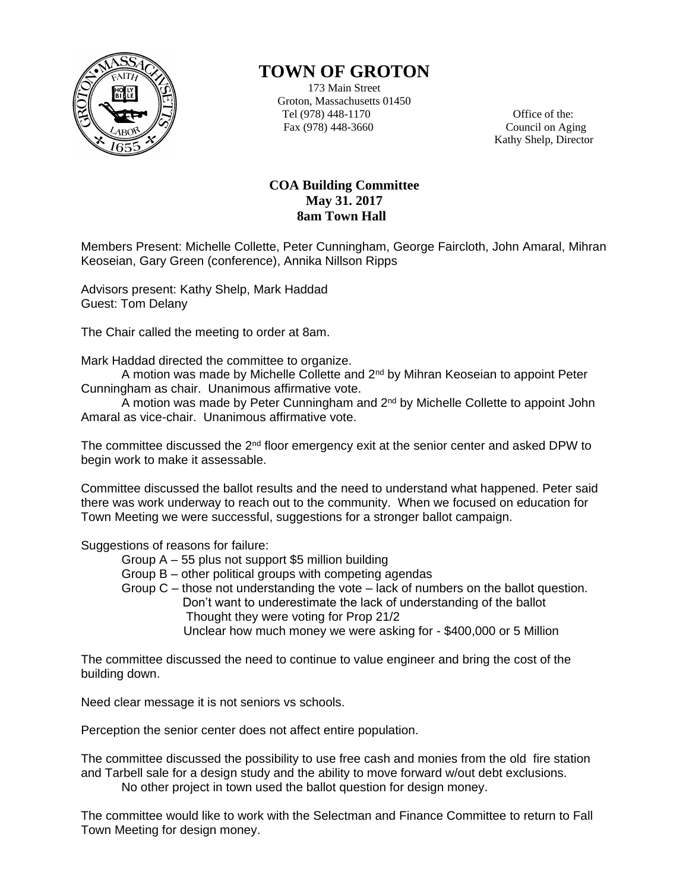

## **TOWN OF GROTON**

173 Main Street Groton, Massachusetts 01450 Tel (978) 448-1170 Office of the: Fax (978) 448-3660 Council on Aging

Kathy Shelp, Director

## **COA Building Committee May 31. 2017 8am Town Hall**

Members Present: Michelle Collette, Peter Cunningham, George Faircloth, John Amaral, Mihran Keoseian, Gary Green (conference), Annika Nillson Ripps

Advisors present: Kathy Shelp, Mark Haddad Guest: Tom Delany

The Chair called the meeting to order at 8am.

Mark Haddad directed the committee to organize.

A motion was made by Michelle Collette and  $2<sup>nd</sup>$  by Mihran Keoseian to appoint Peter Cunningham as chair. Unanimous affirmative vote.

A motion was made by Peter Cunningham and 2nd by Michelle Collette to appoint John Amaral as vice-chair. Unanimous affirmative vote.

The committee discussed the  $2<sup>nd</sup>$  floor emergency exit at the senior center and asked DPW to begin work to make it assessable.

Committee discussed the ballot results and the need to understand what happened. Peter said there was work underway to reach out to the community. When we focused on education for Town Meeting we were successful, suggestions for a stronger ballot campaign.

Suggestions of reasons for failure:

Group A – 55 plus not support \$5 million building

Group B – other political groups with competing agendas

Group C – those not understanding the vote – lack of numbers on the ballot question. Don't want to underestimate the lack of understanding of the ballot Thought they were voting for Prop 21/2

Unclear how much money we were asking for - \$400,000 or 5 Million

The committee discussed the need to continue to value engineer and bring the cost of the building down.

Need clear message it is not seniors vs schools.

Perception the senior center does not affect entire population.

The committee discussed the possibility to use free cash and monies from the old fire station and Tarbell sale for a design study and the ability to move forward w/out debt exclusions. No other project in town used the ballot question for design money.

The committee would like to work with the Selectman and Finance Committee to return to Fall Town Meeting for design money.